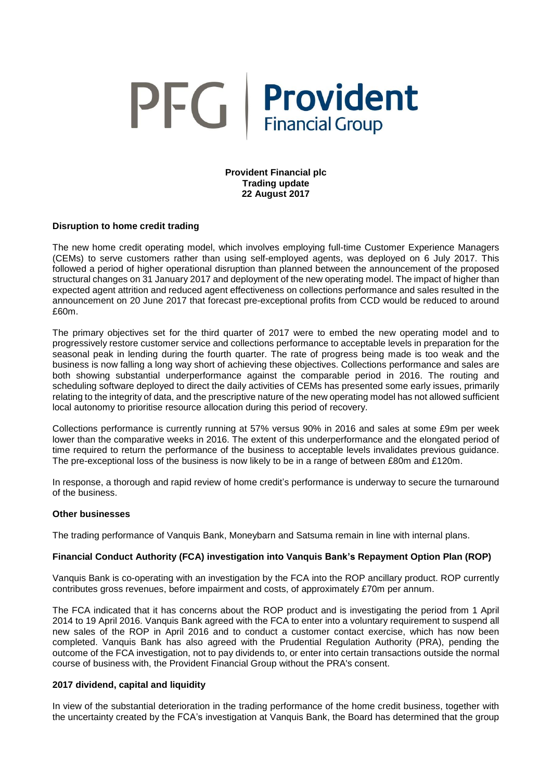# PFG Provident

# **Provident Financial plc Trading update 22 August 2017**

# **Disruption to home credit trading**

The new home credit operating model, which involves employing full-time Customer Experience Managers (CEMs) to serve customers rather than using self-employed agents, was deployed on 6 July 2017. This followed a period of higher operational disruption than planned between the announcement of the proposed structural changes on 31 January 2017 and deployment of the new operating model. The impact of higher than expected agent attrition and reduced agent effectiveness on collections performance and sales resulted in the announcement on 20 June 2017 that forecast pre-exceptional profits from CCD would be reduced to around £60m.

The primary objectives set for the third quarter of 2017 were to embed the new operating model and to progressively restore customer service and collections performance to acceptable levels in preparation for the seasonal peak in lending during the fourth quarter. The rate of progress being made is too weak and the business is now falling a long way short of achieving these objectives. Collections performance and sales are both showing substantial underperformance against the comparable period in 2016. The routing and scheduling software deployed to direct the daily activities of CEMs has presented some early issues, primarily relating to the integrity of data, and the prescriptive nature of the new operating model has not allowed sufficient local autonomy to prioritise resource allocation during this period of recovery.

Collections performance is currently running at 57% versus 90% in 2016 and sales at some £9m per week lower than the comparative weeks in 2016. The extent of this underperformance and the elongated period of time required to return the performance of the business to acceptable levels invalidates previous guidance. The pre-exceptional loss of the business is now likely to be in a range of between £80m and £120m.

In response, a thorough and rapid review of home credit's performance is underway to secure the turnaround of the business.

# **Other businesses**

The trading performance of Vanquis Bank, Moneybarn and Satsuma remain in line with internal plans.

# **Financial Conduct Authority (FCA) investigation into Vanquis Bank's Repayment Option Plan (ROP)**

Vanquis Bank is co-operating with an investigation by the FCA into the ROP ancillary product. ROP currently contributes gross revenues, before impairment and costs, of approximately £70m per annum.

The FCA indicated that it has concerns about the ROP product and is investigating the period from 1 April 2014 to 19 April 2016. Vanquis Bank agreed with the FCA to enter into a voluntary requirement to suspend all new sales of the ROP in April 2016 and to conduct a customer contact exercise, which has now been completed. Vanquis Bank has also agreed with the Prudential Regulation Authority (PRA), pending the outcome of the FCA investigation, not to pay dividends to, or enter into certain transactions outside the normal course of business with, the Provident Financial Group without the PRA's consent.

# **2017 dividend, capital and liquidity**

In view of the substantial deterioration in the trading performance of the home credit business, together with the uncertainty created by the FCA's investigation at Vanquis Bank, the Board has determined that the group